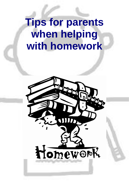## **Tips for parents when helping with homework**

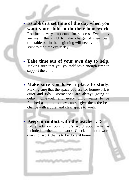- **Establish a set time of the day when you want your child to do their homework.** Routine is very important for success. Eventually we want the child to take charge of their own timetable but in the beginning will need your help to stick to the time every day.
- **Take time out of your own day to help.** Making sure that you yourself have enough time to support the child**.**
- **Make sure you have a place to study.** Making sure that the space you use for homework is quiet and tidy. Distractions are always going to delay homework and every child wants to be finished as quick as they can so give them the best chance with a quiet and clear space to work.
- **Keep in contact with the teacher .** Do not solely rely on your child's word about what is included in their homework. Check the homework diary for work that is to be done at home.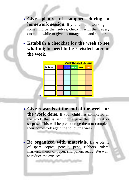- **Give plenty of support during a homework session.** If your child is working on something by themselves, check in with them every once in a while to give encouragement and support.
- **Establish a checklist for the week to see what might need to be revisited later in the week**.



- **Give rewards at the end of the week for the work done.** If your child has completed all the work that is sent home give them a treat or surprise. This will help encourage them to complete their homework again the following week.
- **Be organized with materials.** Have plenty of spare copies, pencils, pens, rubbers, rulers, markers, sheets of paper, sharpeners ready. We want to reduce the excuses!